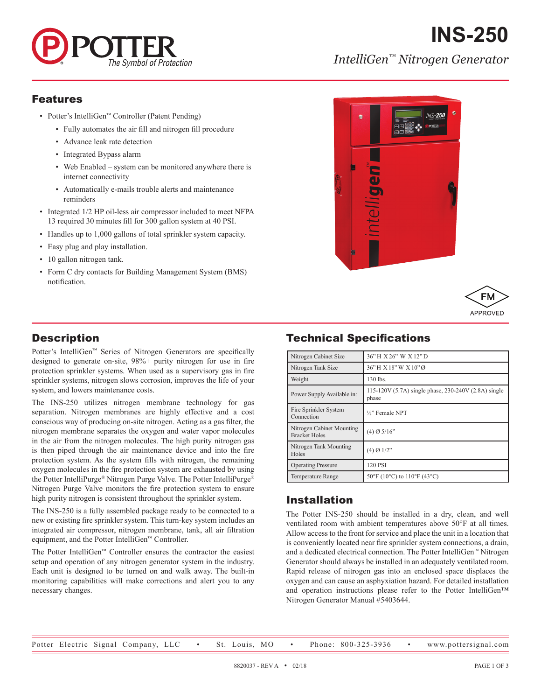

# *IntelliGen™ Nitrogen Generator*

**INS-250**

#### Features

- Potter's IntelliGen™ Controller (Patent Pending)
	- Fully automates the air fill and nitrogen fill procedure
	- Advance leak rate detection
	- Integrated Bypass alarm
	- Web Enabled system can be monitored anywhere there is internet connectivity
	- Automatically e-mails trouble alerts and maintenance reminders
- Integrated 1/2 HP oil-less air compressor included to meet NFPA 13 required 30 minutes fill for 300 gallon system at 40 PSI.
- Handles up to 1,000 gallons of total sprinkler system capacity.
- Easy plug and play installation.
- 10 gallon nitrogen tank.
- Form C dry contacts for Building Management System (BMS) notification.





## **Description**

Potter's IntelliGen™ Series of Nitrogen Generators are specifically designed to generate on-site, 98%+ purity nitrogen for use in fire protection sprinkler systems. When used as a supervisory gas in fire sprinkler systems, nitrogen slows corrosion, improves the life of your system, and lowers maintenance costs.

The INS-250 utilizes nitrogen membrane technology for gas separation. Nitrogen membranes are highly effective and a cost conscious way of producing on-site nitrogen. Acting as a gas filter, the nitrogen membrane separates the oxygen and water vapor molecules in the air from the nitrogen molecules. The high purity nitrogen gas is then piped through the air maintenance device and into the fire protection system. As the system fills with nitrogen, the remaining oxygen molecules in the fire protection system are exhausted by using the Potter IntelliPurge® Nitrogen Purge Valve. The Potter IntelliPurge® Nitrogen Purge Valve monitors the fire protection system to ensure high purity nitrogen is consistent throughout the sprinkler system.

The INS-250 is a fully assembled package ready to be connected to a new or existing fire sprinkler system. This turn-key system includes an integrated air compressor, nitrogen membrane, tank, all air filtration equipment, and the Potter IntelliGen™ Controller.

The Potter IntelliGen™ Controller ensures the contractor the easiest setup and operation of any nitrogen generator system in the industry. Each unit is designed to be turned on and walk away. The built-in monitoring capabilities will make corrections and alert you to any necessary changes.

## Technical Specifications

| Nitrogen Cabinet Size                             | 36" H X 26" W X 12" D                                         |  |
|---------------------------------------------------|---------------------------------------------------------------|--|
| Nitrogen Tank Size                                | 36"H X 18"W X 10"Ø                                            |  |
| Weight                                            | 130 lbs.                                                      |  |
| Power Supply Available in:                        | 115-120V (5.7A) single phase, 230-240V (2.8A) single<br>phase |  |
| Fire Sprinkler System<br>Connection               | 1/2" Female NPT                                               |  |
| Nitrogen Cabinet Mounting<br><b>Bracket Holes</b> | $(4)$ Ø 5/16"                                                 |  |
| Nitrogen Tank Mounting<br>Holes                   | $(4)$ Ø 1/2"                                                  |  |
| <b>Operating Pressure</b>                         | 120 PSI                                                       |  |
| <b>Temperature Range</b>                          | $50^{\circ}$ F (10°C) to 110°F (43°C)                         |  |

#### Installation

The Potter INS-250 should be installed in a dry, clean, and well ventilated room with ambient temperatures above 50°F at all times. Allow access to the front for service and place the unit in a location that is conveniently located near fire sprinkler system connections, a drain, and a dedicated electrical connection. The Potter IntelliGen™ Nitrogen Generator should always be installed in an adequately ventilated room. Rapid release of nitrogen gas into an enclosed space displaces the oxygen and can cause an asphyxiation hazard. For detailed installation and operation instructions please refer to the Potter IntelliGen™ Nitrogen Generator Manual #5403644.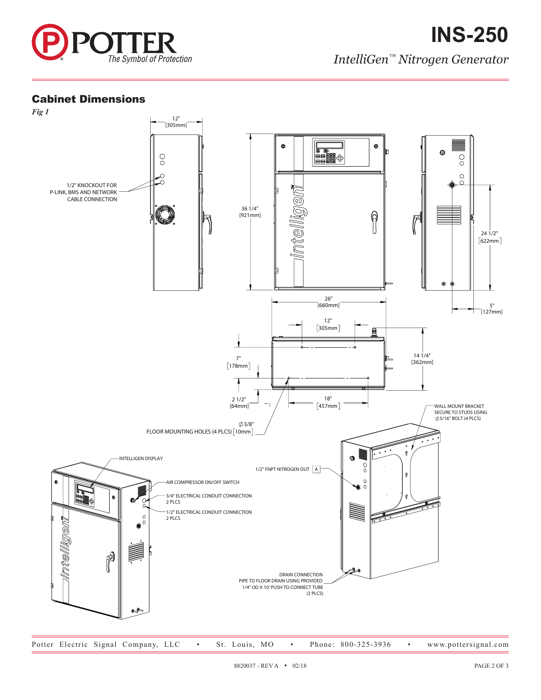

## Cabinet Dimensions